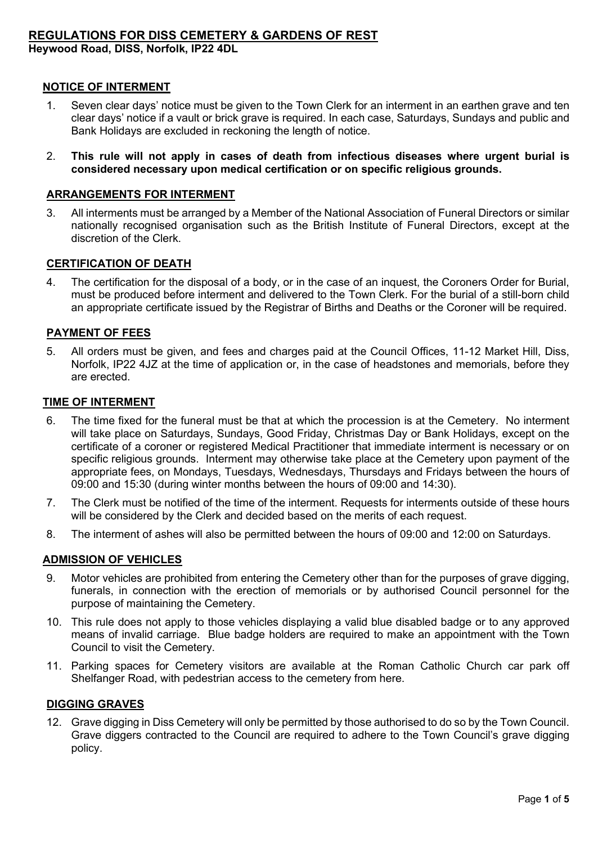# **REGULATIONS FOR DISS CEMETERY & GARDENS OF REST**

**Heywood Road, DISS, Norfolk, IP22 4DL**

#### **NOTICE OF INTERMENT**

- 1. Seven clear days' notice must be given to the Town Clerk for an interment in an earthen grave and ten clear days' notice if a vault or brick grave is required. In each case, Saturdays, Sundays and public and Bank Holidays are excluded in reckoning the length of notice.
- 2. **This rule will not apply in cases of death from infectious diseases where urgent burial is considered necessary upon medical certification or on specific religious grounds.**

#### **ARRANGEMENTS FOR INTERMENT**

3. All interments must be arranged by a Member of the National Association of Funeral Directors or similar nationally recognised organisation such as the British Institute of Funeral Directors, except at the discretion of the Clerk.

#### **CERTIFICATION OF DEATH**

4. The certification for the disposal of a body, or in the case of an inquest, the Coroners Order for Burial, must be produced before interment and delivered to the Town Clerk. For the burial of a still-born child an appropriate certificate issued by the Registrar of Births and Deaths or the Coroner will be required.

# **PAYMENT OF FEES**

5. All orders must be given, and fees and charges paid at the Council Offices, 11-12 Market Hill, Diss, Norfolk, IP22 4JZ at the time of application or, in the case of headstones and memorials, before they are erected.

#### **TIME OF INTERMENT**

- 6. The time fixed for the funeral must be that at which the procession is at the Cemetery. No interment will take place on Saturdays, Sundays, Good Friday, Christmas Day or Bank Holidays, except on the certificate of a coroner or registered Medical Practitioner that immediate interment is necessary or on specific religious grounds. Interment may otherwise take place at the Cemetery upon payment of the appropriate fees, on Mondays, Tuesdays, Wednesdays, Thursdays and Fridays between the hours of 09:00 and 15:30 (during winter months between the hours of 09:00 and 14:30).
- 7. The Clerk must be notified of the time of the interment. Requests for interments outside of these hours will be considered by the Clerk and decided based on the merits of each request.
- 8. The interment of ashes will also be permitted between the hours of 09:00 and 12:00 on Saturdays.

### **ADMISSION OF VEHICLES**

- 9. Motor vehicles are prohibited from entering the Cemetery other than for the purposes of grave digging, funerals, in connection with the erection of memorials or by authorised Council personnel for the purpose of maintaining the Cemetery.
- 10. This rule does not apply to those vehicles displaying a valid blue disabled badge or to any approved means of invalid carriage. Blue badge holders are required to make an appointment with the Town Council to visit the Cemetery.
- 11. Parking spaces for Cemetery visitors are available at the Roman Catholic Church car park off Shelfanger Road, with pedestrian access to the cemetery from here.

### **DIGGING GRAVES**

12. Grave digging in Diss Cemetery will only be permitted by those authorised to do so by the Town Council. Grave diggers contracted to the Council are required to adhere to the Town Council's grave digging policy.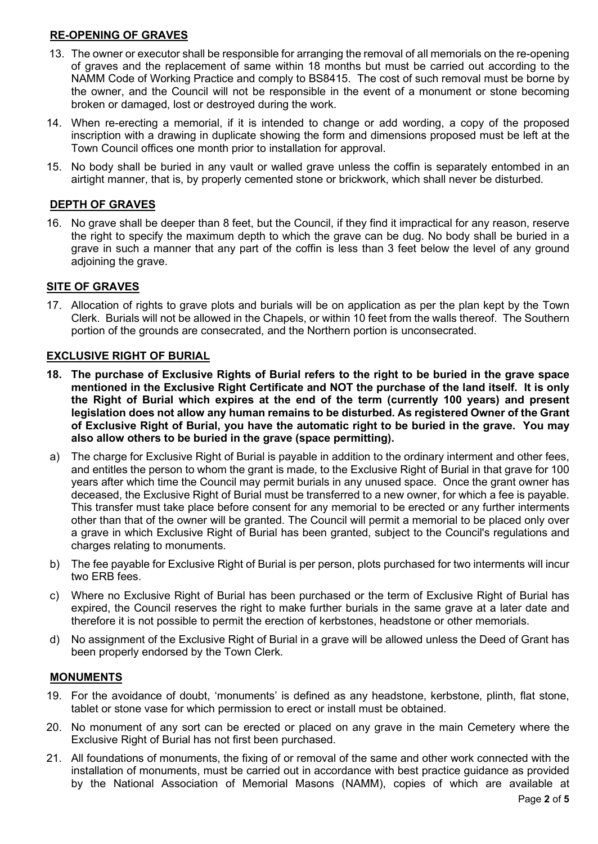# **RE-OPENING OF GRAVES**

- 13. The owner or executor shall be responsible for arranging the removal of all memorials on the re-opening of graves and the replacement of same within 18 months but must be carried out according to the NAMM Code of Working Practice and comply to BS8415. The cost of such removal must be borne by the owner, and the Council will not be responsible in the event of a monument or stone becoming broken or damaged, lost or destroyed during the work.
- 14. When re-erecting a memorial, if it is intended to change or add wording, a copy of the proposed inscription with a drawing in duplicate showing the form and dimensions proposed must be left at the Town Council offices one month prior to installation for approval.
- 15. No body shall be buried in any vault or walled grave unless the coffin is separately entombed in an airtight manner, that is, by properly cemented stone or brickwork, which shall never be disturbed.

# **DEPTH OF GRAVES**

16. No grave shall be deeper than 8 feet, but the Council, if they find it impractical for any reason, reserve the right to specify the maximum depth to which the grave can be dug. No body shall be buried in a grave in such a manner that any part of the coffin is less than 3 feet below the level of any ground adjoining the grave.

### **SITE OF GRAVES**

17. Allocation of rights to grave plots and burials will be on application as per the plan kept by the Town Clerk. Burials will not be allowed in the Chapels, or within 10 feet from the walls thereof. The Southern portion of the grounds are consecrated, and the Northern portion is unconsecrated.

# **EXCLUSIVE RIGHT OF BURIAL**

- **18. The purchase of Exclusive Rights of Burial refers to the right to be buried in the grave space mentioned in the Exclusive Right Certificate and NOT the purchase of the land itself. It is only the Right of Burial which expires at the end of the term (currently 100 years) and present legislation does not allow any human remains to be disturbed. As registered Owner of the Grant of Exclusive Right of Burial, you have the automatic right to be buried in the grave. You may also allow others to be buried in the grave (space permitting).**
- a) The charge for Exclusive Right of Burial is payable in addition to the ordinary interment and other fees, and entitles the person to whom the grant is made, to the Exclusive Right of Burial in that grave for 100 years after which time the Council may permit burials in any unused space. Once the grant owner has deceased, the Exclusive Right of Burial must be transferred to a new owner, for which a fee is payable. This transfer must take place before consent for any memorial to be erected or any further interments other than that of the owner will be granted. The Council will permit a memorial to be placed only over a grave in which Exclusive Right of Burial has been granted, subject to the Council's regulations and charges relating to monuments.
- b) The fee payable for Exclusive Right of Burial is per person, plots purchased for two interments will incur two ERB fees.
- c) Where no Exclusive Right of Burial has been purchased or the term of Exclusive Right of Burial has expired, the Council reserves the right to make further burials in the same grave at a later date and therefore it is not possible to permit the erection of kerbstones, headstone or other memorials.
- d) No assignment of the Exclusive Right of Burial in a grave will be allowed unless the Deed of Grant has been properly endorsed by the Town Clerk.

### **MONUMENTS**

- 19. For the avoidance of doubt, 'monuments' is defined as any headstone, kerbstone, plinth, flat stone, tablet or stone vase for which permission to erect or install must be obtained.
- 20. No monument of any sort can be erected or placed on any grave in the main Cemetery where the Exclusive Right of Burial has not first been purchased.
- 21. All foundations of monuments, the fixing of or removal of the same and other work connected with the installation of monuments, must be carried out in accordance with best practice guidance as provided by the National Association of Memorial Masons (NAMM), copies of which are available at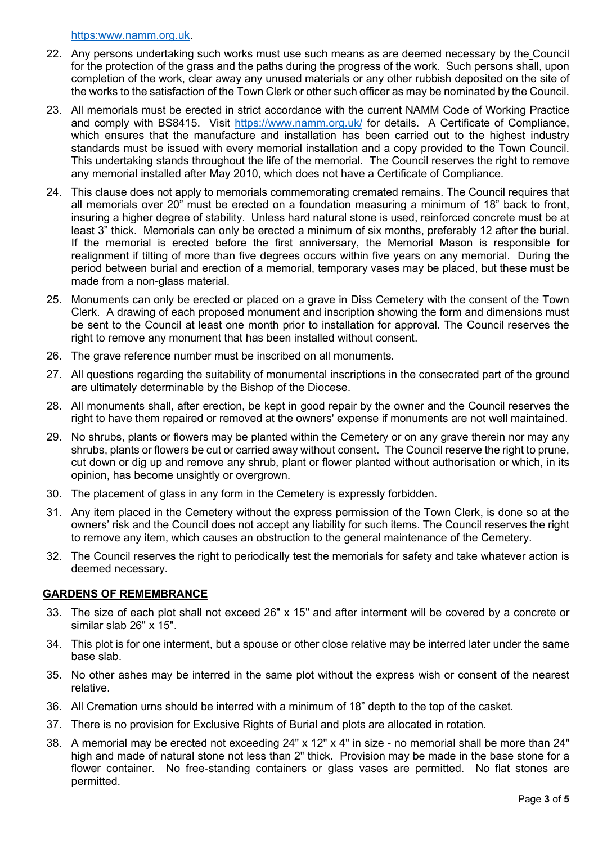[https:www.namm.org.uk.](https://www.namm.org.uk/)

- 22. Any persons undertaking such works must use such means as are deemed necessary by the Council for the protection of the grass and the paths during the progress of the work. Such persons shall, upon completion of the work, clear away any unused materials or any other rubbish deposited on the site of the works to the satisfaction of the Town Clerk or other such officer as may be nominated by the Council.
- 23. All memorials must be erected in strict accordance with the current NAMM Code of Working Practice and comply with BS8415. Visit<https://www.namm.org.uk/> for details. A Certificate of Compliance, which ensures that the manufacture and installation has been carried out to the highest industry standards must be issued with every memorial installation and a copy provided to the Town Council. This undertaking stands throughout the life of the memorial. The Council reserves the right to remove any memorial installed after May 2010, which does not have a Certificate of Compliance.
- 24. This clause does not apply to memorials commemorating cremated remains. The Council requires that all memorials over 20" must be erected on a foundation measuring a minimum of 18" back to front, insuring a higher degree of stability. Unless hard natural stone is used, reinforced concrete must be at least 3" thick. Memorials can only be erected a minimum of six months, preferably 12 after the burial. If the memorial is erected before the first anniversary, the Memorial Mason is responsible for realignment if tilting of more than five degrees occurs within five years on any memorial. During the period between burial and erection of a memorial, temporary vases may be placed, but these must be made from a non-glass material.
- 25. Monuments can only be erected or placed on a grave in Diss Cemetery with the consent of the Town Clerk. A drawing of each proposed monument and inscription showing the form and dimensions must be sent to the Council at least one month prior to installation for approval. The Council reserves the right to remove any monument that has been installed without consent.
- 26. The grave reference number must be inscribed on all monuments.
- 27. All questions regarding the suitability of monumental inscriptions in the consecrated part of the ground are ultimately determinable by the Bishop of the Diocese.
- 28. All monuments shall, after erection, be kept in good repair by the owner and the Council reserves the right to have them repaired or removed at the owners' expense if monuments are not well maintained.
- 29. No shrubs, plants or flowers may be planted within the Cemetery or on any grave therein nor may any shrubs, plants or flowers be cut or carried away without consent. The Council reserve the right to prune, cut down or dig up and remove any shrub, plant or flower planted without authorisation or which, in its opinion, has become unsightly or overgrown.
- 30. The placement of glass in any form in the Cemetery is expressly forbidden.
- 31. Any item placed in the Cemetery without the express permission of the Town Clerk, is done so at the owners' risk and the Council does not accept any liability for such items. The Council reserves the right to remove any item, which causes an obstruction to the general maintenance of the Cemetery.
- 32. The Council reserves the right to periodically test the memorials for safety and take whatever action is deemed necessary.

### **GARDENS OF REMEMBRANCE**

- 33. The size of each plot shall not exceed 26" x 15" and after interment will be covered by a concrete or similar slab 26" x 15".
- 34. This plot is for one interment, but a spouse or other close relative may be interred later under the same base slab.
- 35. No other ashes may be interred in the same plot without the express wish or consent of the nearest relative.
- 36. All Cremation urns should be interred with a minimum of 18" depth to the top of the casket.
- 37. There is no provision for Exclusive Rights of Burial and plots are allocated in rotation.
- 38. A memorial may be erected not exceeding 24" x 12" x 4" in size no memorial shall be more than 24" high and made of natural stone not less than 2" thick. Provision may be made in the base stone for a flower container. No free-standing containers or glass vases are permitted. No flat stones are permitted.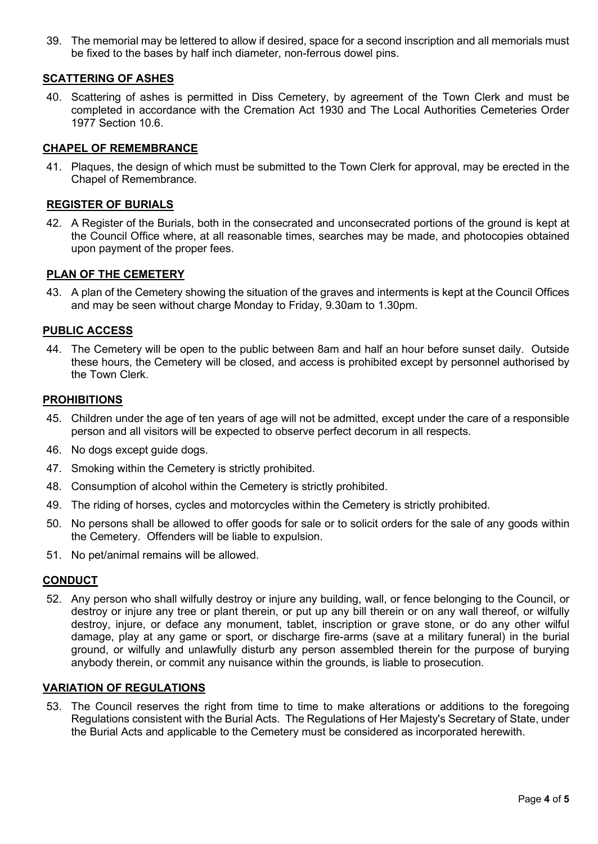39. The memorial may be lettered to allow if desired, space for a second inscription and all memorials must be fixed to the bases by half inch diameter, non-ferrous dowel pins.

# **SCATTERING OF ASHES**

40. Scattering of ashes is permitted in Diss Cemetery, by agreement of the Town Clerk and must be completed in accordance with the Cremation Act 1930 and The Local Authorities Cemeteries Order 1977 Section 10.6.

# **CHAPEL OF REMEMBRANCE**

41. Plaques, the design of which must be submitted to the Town Clerk for approval, may be erected in the Chapel of Remembrance.

# **REGISTER OF BURIALS**

42. A Register of the Burials, both in the consecrated and unconsecrated portions of the ground is kept at the Council Office where, at all reasonable times, searches may be made, and photocopies obtained upon payment of the proper fees.

### **PLAN OF THE CEMETERY**

43. A plan of the Cemetery showing the situation of the graves and interments is kept at the Council Offices and may be seen without charge Monday to Friday, 9.30am to 1.30pm.

### **PUBLIC ACCESS**

44. The Cemetery will be open to the public between 8am and half an hour before sunset daily. Outside these hours, the Cemetery will be closed, and access is prohibited except by personnel authorised by the Town Clerk.

### **PROHIBITIONS**

- 45. Children under the age of ten years of age will not be admitted, except under the care of a responsible person and all visitors will be expected to observe perfect decorum in all respects.
- 46. No dogs except guide dogs.
- 47. Smoking within the Cemetery is strictly prohibited.
- 48. Consumption of alcohol within the Cemetery is strictly prohibited.
- 49. The riding of horses, cycles and motorcycles within the Cemetery is strictly prohibited.
- 50. No persons shall be allowed to offer goods for sale or to solicit orders for the sale of any goods within the Cemetery. Offenders will be liable to expulsion.
- 51. No pet/animal remains will be allowed.

### **CONDUCT**

52. Any person who shall wilfully destroy or injure any building, wall, or fence belonging to the Council, or destroy or injure any tree or plant therein, or put up any bill therein or on any wall thereof, or wilfully destroy, injure, or deface any monument, tablet, inscription or grave stone, or do any other wilful damage, play at any game or sport, or discharge fire-arms (save at a military funeral) in the burial ground, or wilfully and unlawfully disturb any person assembled therein for the purpose of burying anybody therein, or commit any nuisance within the grounds, is liable to prosecution.

### **VARIATION OF REGULATIONS**

53. The Council reserves the right from time to time to make alterations or additions to the foregoing Regulations consistent with the Burial Acts. The Regulations of Her Majesty's Secretary of State, under the Burial Acts and applicable to the Cemetery must be considered as incorporated herewith.